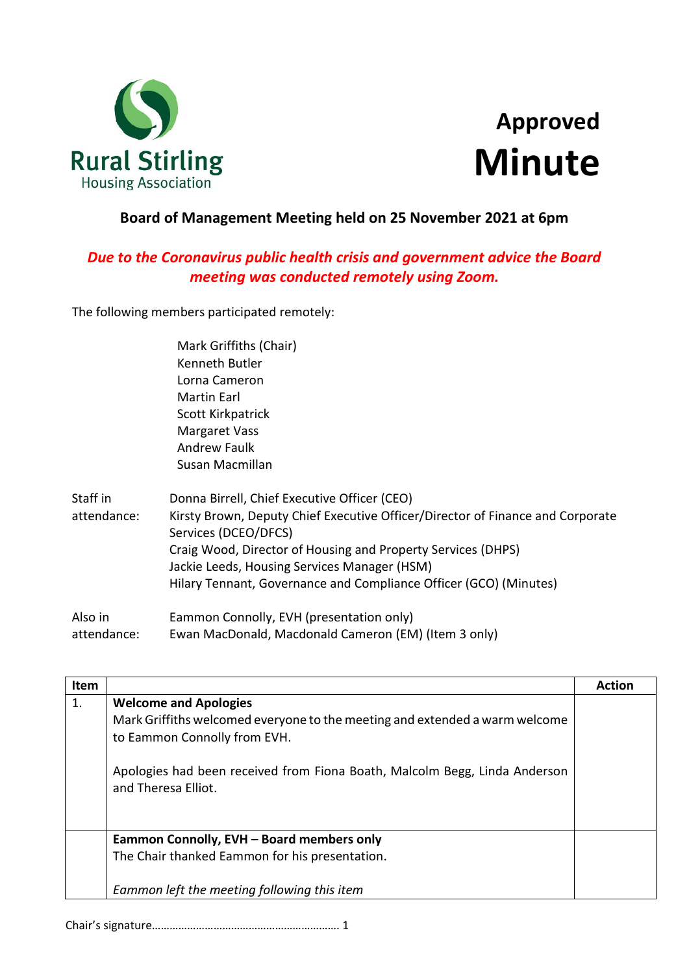

## **Approved Minute**

## **Board of Management Meeting held on 25 November 2021 at 6pm**

## *Due to the Coronavirus public health crisis and government advice the Board meeting was conducted remotely using Zoom.*

The following members participated remotely:

|             | Mark Griffiths (Chair)                                                         |
|-------------|--------------------------------------------------------------------------------|
|             | Kenneth Butler                                                                 |
|             | Lorna Cameron                                                                  |
|             | Martin Earl                                                                    |
|             | Scott Kirkpatrick                                                              |
|             | <b>Margaret Vass</b>                                                           |
|             | <b>Andrew Faulk</b>                                                            |
|             | Susan Macmillan                                                                |
| Staff in    | Donna Birrell, Chief Executive Officer (CEO)                                   |
| attendance: | Kirsty Brown, Deputy Chief Executive Officer/Director of Finance and Corporate |
|             | Services (DCEO/DFCS)                                                           |
|             | Craig Wood, Director of Housing and Property Services (DHPS)                   |
|             | Jackie Leeds, Housing Services Manager (HSM)                                   |
|             | Hilary Tennant, Governance and Compliance Officer (GCO) (Minutes)              |
| Alco in     | Eammon Connolly EVH (presentation only)                                        |

Also in attendance: Eammon Connolly, EVH (presentation only) Ewan MacDonald, Macdonald Cameron (EM) (Item 3 only)

| Item |                                                                                                                                                                                                                                                  | <b>Action</b> |
|------|--------------------------------------------------------------------------------------------------------------------------------------------------------------------------------------------------------------------------------------------------|---------------|
| 1.   | <b>Welcome and Apologies</b><br>Mark Griffiths welcomed everyone to the meeting and extended a warm welcome<br>to Eammon Connolly from EVH.<br>Apologies had been received from Fiona Boath, Malcolm Begg, Linda Anderson<br>and Theresa Elliot. |               |
|      | Eammon Connolly, EVH - Board members only<br>The Chair thanked Eammon for his presentation.<br>Eammon left the meeting following this item                                                                                                       |               |

Chair's signature………………………………………………………. 1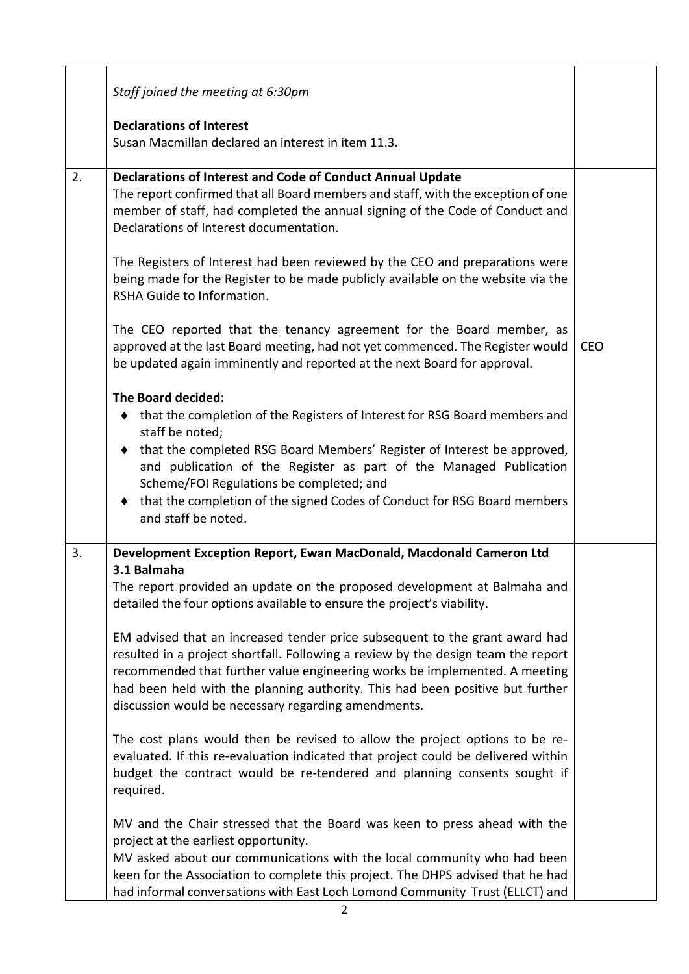|    | Staff joined the meeting at 6:30pm                                                                                                                                                                                                                                                                                                                                                                                           |            |
|----|------------------------------------------------------------------------------------------------------------------------------------------------------------------------------------------------------------------------------------------------------------------------------------------------------------------------------------------------------------------------------------------------------------------------------|------------|
|    | <b>Declarations of Interest</b><br>Susan Macmillan declared an interest in item 11.3.                                                                                                                                                                                                                                                                                                                                        |            |
| 2. | <b>Declarations of Interest and Code of Conduct Annual Update</b><br>The report confirmed that all Board members and staff, with the exception of one<br>member of staff, had completed the annual signing of the Code of Conduct and<br>Declarations of Interest documentation.                                                                                                                                             |            |
|    | The Registers of Interest had been reviewed by the CEO and preparations were<br>being made for the Register to be made publicly available on the website via the<br>RSHA Guide to Information.                                                                                                                                                                                                                               |            |
|    | The CEO reported that the tenancy agreement for the Board member, as<br>approved at the last Board meeting, had not yet commenced. The Register would<br>be updated again imminently and reported at the next Board for approval.                                                                                                                                                                                            | <b>CEO</b> |
|    | The Board decided:<br>◆ that the completion of the Registers of Interest for RSG Board members and<br>staff be noted;<br>that the completed RSG Board Members' Register of Interest be approved,<br>٠<br>and publication of the Register as part of the Managed Publication<br>Scheme/FOI Regulations be completed; and<br>♦ that the completion of the signed Codes of Conduct for RSG Board members<br>and staff be noted. |            |
| 3. | Development Exception Report, Ewan MacDonald, Macdonald Cameron Ltd<br>3.1 Balmaha                                                                                                                                                                                                                                                                                                                                           |            |
|    | The report provided an update on the proposed development at Balmaha and<br>detailed the four options available to ensure the project's viability.                                                                                                                                                                                                                                                                           |            |
|    | EM advised that an increased tender price subsequent to the grant award had<br>resulted in a project shortfall. Following a review by the design team the report<br>recommended that further value engineering works be implemented. A meeting<br>had been held with the planning authority. This had been positive but further<br>discussion would be necessary regarding amendments.                                       |            |
|    | The cost plans would then be revised to allow the project options to be re-<br>evaluated. If this re-evaluation indicated that project could be delivered within<br>budget the contract would be re-tendered and planning consents sought if<br>required.                                                                                                                                                                    |            |
|    | MV and the Chair stressed that the Board was keen to press ahead with the<br>project at the earliest opportunity.<br>MV asked about our communications with the local community who had been<br>keen for the Association to complete this project. The DHPS advised that he had<br>had informal conversations with East Loch Lomond Community Trust (ELLCT) and                                                              |            |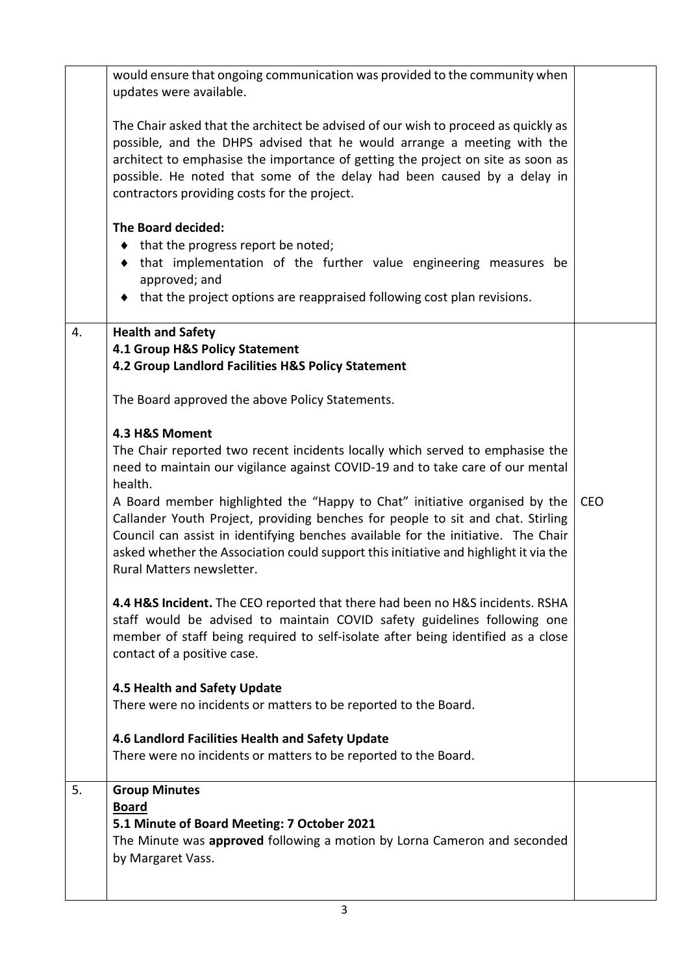|    | would ensure that ongoing communication was provided to the community when<br>updates were available.                                                                                                                                                                                                                                                                       |            |
|----|-----------------------------------------------------------------------------------------------------------------------------------------------------------------------------------------------------------------------------------------------------------------------------------------------------------------------------------------------------------------------------|------------|
|    | The Chair asked that the architect be advised of our wish to proceed as quickly as<br>possible, and the DHPS advised that he would arrange a meeting with the<br>architect to emphasise the importance of getting the project on site as soon as<br>possible. He noted that some of the delay had been caused by a delay in<br>contractors providing costs for the project. |            |
|    | The Board decided:                                                                                                                                                                                                                                                                                                                                                          |            |
|    | $\bullet$ that the progress report be noted;                                                                                                                                                                                                                                                                                                                                |            |
|    | that implementation of the further value engineering measures be<br>$\bullet$                                                                                                                                                                                                                                                                                               |            |
|    | approved; and<br>• that the project options are reappraised following cost plan revisions.                                                                                                                                                                                                                                                                                  |            |
|    |                                                                                                                                                                                                                                                                                                                                                                             |            |
| 4. | <b>Health and Safety</b>                                                                                                                                                                                                                                                                                                                                                    |            |
|    | 4.1 Group H&S Policy Statement<br>4.2 Group Landlord Facilities H&S Policy Statement                                                                                                                                                                                                                                                                                        |            |
|    |                                                                                                                                                                                                                                                                                                                                                                             |            |
|    | The Board approved the above Policy Statements.                                                                                                                                                                                                                                                                                                                             |            |
|    | 4.3 H&S Moment                                                                                                                                                                                                                                                                                                                                                              |            |
|    | The Chair reported two recent incidents locally which served to emphasise the<br>need to maintain our vigilance against COVID-19 and to take care of our mental<br>health.                                                                                                                                                                                                  |            |
|    | A Board member highlighted the "Happy to Chat" initiative organised by the<br>Callander Youth Project, providing benches for people to sit and chat. Stirling<br>Council can assist in identifying benches available for the initiative. The Chair<br>asked whether the Association could support this initiative and highlight it via the<br>Rural Matters newsletter.     | <b>CEO</b> |
|    | 4.4 H&S Incident. The CEO reported that there had been no H&S incidents. RSHA<br>staff would be advised to maintain COVID safety guidelines following one<br>member of staff being required to self-isolate after being identified as a close<br>contact of a positive case.                                                                                                |            |
|    | 4.5 Health and Safety Update                                                                                                                                                                                                                                                                                                                                                |            |
|    | There were no incidents or matters to be reported to the Board.                                                                                                                                                                                                                                                                                                             |            |
|    | 4.6 Landlord Facilities Health and Safety Update<br>There were no incidents or matters to be reported to the Board.                                                                                                                                                                                                                                                         |            |
| 5. | <b>Group Minutes</b>                                                                                                                                                                                                                                                                                                                                                        |            |
|    | <b>Board</b>                                                                                                                                                                                                                                                                                                                                                                |            |
|    | 5.1 Minute of Board Meeting: 7 October 2021<br>The Minute was <b>approved</b> following a motion by Lorna Cameron and seconded                                                                                                                                                                                                                                              |            |
|    | by Margaret Vass.                                                                                                                                                                                                                                                                                                                                                           |            |
|    |                                                                                                                                                                                                                                                                                                                                                                             |            |
|    |                                                                                                                                                                                                                                                                                                                                                                             |            |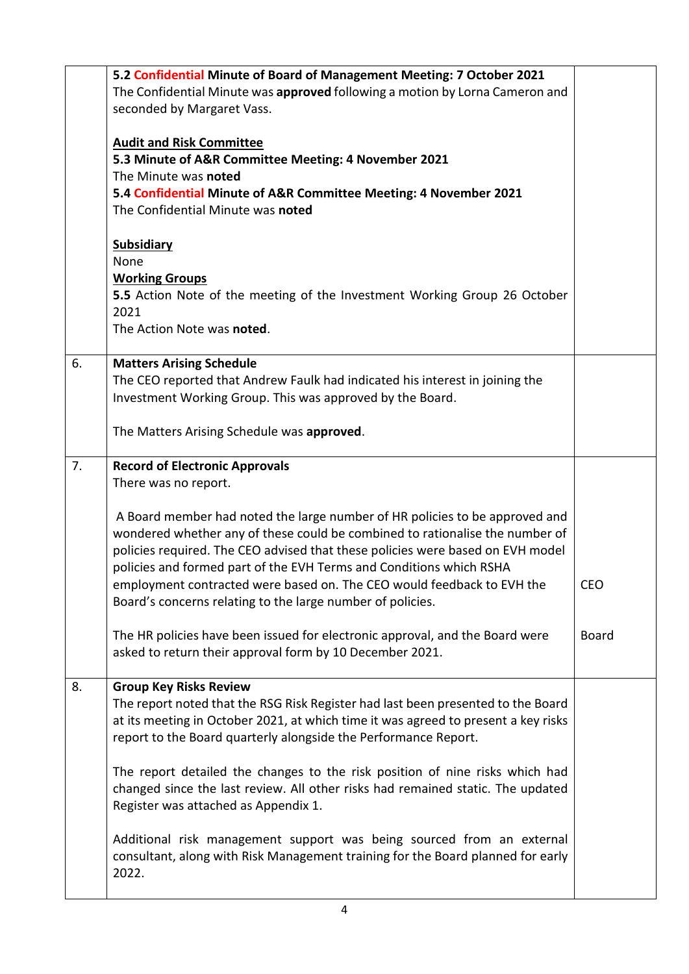|    | 5.2 Confidential Minute of Board of Management Meeting: 7 October 2021                                     |              |
|----|------------------------------------------------------------------------------------------------------------|--------------|
|    | The Confidential Minute was approved following a motion by Lorna Cameron and<br>seconded by Margaret Vass. |              |
|    |                                                                                                            |              |
|    | <b>Audit and Risk Committee</b>                                                                            |              |
|    | 5.3 Minute of A&R Committee Meeting: 4 November 2021                                                       |              |
|    | The Minute was noted                                                                                       |              |
|    | 5.4 Confidential Minute of A&R Committee Meeting: 4 November 2021                                          |              |
|    | The Confidential Minute was noted                                                                          |              |
|    | <b>Subsidiary</b>                                                                                          |              |
|    | None                                                                                                       |              |
|    | <b>Working Groups</b>                                                                                      |              |
|    | 5.5 Action Note of the meeting of the Investment Working Group 26 October                                  |              |
|    | 2021                                                                                                       |              |
|    | The Action Note was noted.                                                                                 |              |
| 6. | <b>Matters Arising Schedule</b>                                                                            |              |
|    | The CEO reported that Andrew Faulk had indicated his interest in joining the                               |              |
|    | Investment Working Group. This was approved by the Board.                                                  |              |
|    | The Matters Arising Schedule was approved.                                                                 |              |
| 7. | <b>Record of Electronic Approvals</b>                                                                      |              |
|    | There was no report.                                                                                       |              |
|    |                                                                                                            |              |
|    | A Board member had noted the large number of HR policies to be approved and                                |              |
|    | wondered whether any of these could be combined to rationalise the number of                               |              |
|    | policies required. The CEO advised that these policies were based on EVH model                             |              |
|    | policies and formed part of the EVH Terms and Conditions which RSHA                                        |              |
|    | employment contracted were based on. The CEO would feedback to EVH the                                     | CEO          |
|    | Board's concerns relating to the large number of policies.                                                 |              |
|    | The HR policies have been issued for electronic approval, and the Board were                               | <b>Board</b> |
|    | asked to return their approval form by 10 December 2021.                                                   |              |
| 8. | <b>Group Key Risks Review</b>                                                                              |              |
|    | The report noted that the RSG Risk Register had last been presented to the Board                           |              |
|    | at its meeting in October 2021, at which time it was agreed to present a key risks                         |              |
|    | report to the Board quarterly alongside the Performance Report.                                            |              |
|    | The report detailed the changes to the risk position of nine risks which had                               |              |
|    | changed since the last review. All other risks had remained static. The updated                            |              |
|    | Register was attached as Appendix 1.                                                                       |              |
|    | Additional risk management support was being sourced from an external                                      |              |
|    | consultant, along with Risk Management training for the Board planned for early                            |              |
|    | 2022.                                                                                                      |              |
|    |                                                                                                            |              |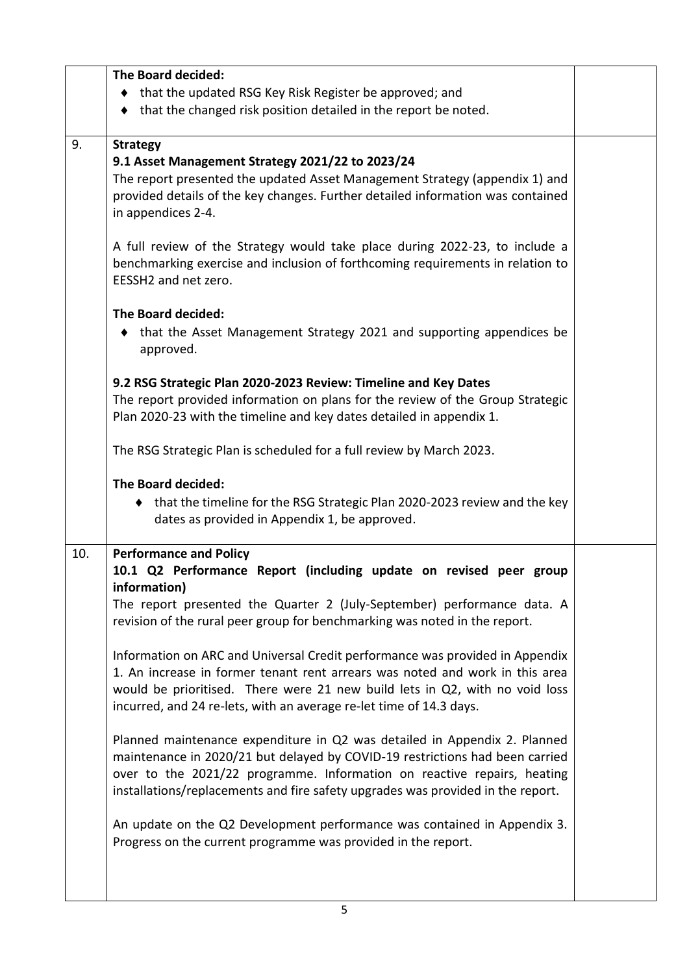|     | The Board decided:                                                              |  |
|-----|---------------------------------------------------------------------------------|--|
|     | ♦ that the updated RSG Key Risk Register be approved; and                       |  |
|     | that the changed risk position detailed in the report be noted.<br>٠            |  |
|     |                                                                                 |  |
| 9.  | <b>Strategy</b>                                                                 |  |
|     | 9.1 Asset Management Strategy 2021/22 to 2023/24                                |  |
|     | The report presented the updated Asset Management Strategy (appendix 1) and     |  |
|     | provided details of the key changes. Further detailed information was contained |  |
|     | in appendices 2-4.                                                              |  |
|     |                                                                                 |  |
|     | A full review of the Strategy would take place during 2022-23, to include a     |  |
|     | benchmarking exercise and inclusion of forthcoming requirements in relation to  |  |
|     | EESSH2 and net zero.                                                            |  |
|     |                                                                                 |  |
|     | The Board decided:                                                              |  |
|     | that the Asset Management Strategy 2021 and supporting appendices be<br>٠       |  |
|     | approved.                                                                       |  |
|     |                                                                                 |  |
|     | 9.2 RSG Strategic Plan 2020-2023 Review: Timeline and Key Dates                 |  |
|     | The report provided information on plans for the review of the Group Strategic  |  |
|     | Plan 2020-23 with the timeline and key dates detailed in appendix 1.            |  |
|     |                                                                                 |  |
|     | The RSG Strategic Plan is scheduled for a full review by March 2023.            |  |
|     | The Board decided:                                                              |  |
|     | ♦ that the timeline for the RSG Strategic Plan 2020-2023 review and the key     |  |
|     | dates as provided in Appendix 1, be approved.                                   |  |
|     |                                                                                 |  |
| 10. | <b>Performance and Policy</b>                                                   |  |
|     | 10.1 Q2 Performance Report (including update on revised peer group              |  |
|     | information)                                                                    |  |
|     | The report presented the Quarter 2 (July-September) performance data. A         |  |
|     | revision of the rural peer group for benchmarking was noted in the report.      |  |
|     |                                                                                 |  |
|     | Information on ARC and Universal Credit performance was provided in Appendix    |  |
|     | 1. An increase in former tenant rent arrears was noted and work in this area    |  |
|     | would be prioritised. There were 21 new build lets in Q2, with no void loss     |  |
|     | incurred, and 24 re-lets, with an average re-let time of 14.3 days.             |  |
|     |                                                                                 |  |
|     | Planned maintenance expenditure in Q2 was detailed in Appendix 2. Planned       |  |
|     | maintenance in 2020/21 but delayed by COVID-19 restrictions had been carried    |  |
|     | over to the 2021/22 programme. Information on reactive repairs, heating         |  |
|     | installations/replacements and fire safety upgrades was provided in the report. |  |
|     | An update on the Q2 Development performance was contained in Appendix 3.        |  |
|     | Progress on the current programme was provided in the report.                   |  |
|     |                                                                                 |  |
|     |                                                                                 |  |
|     |                                                                                 |  |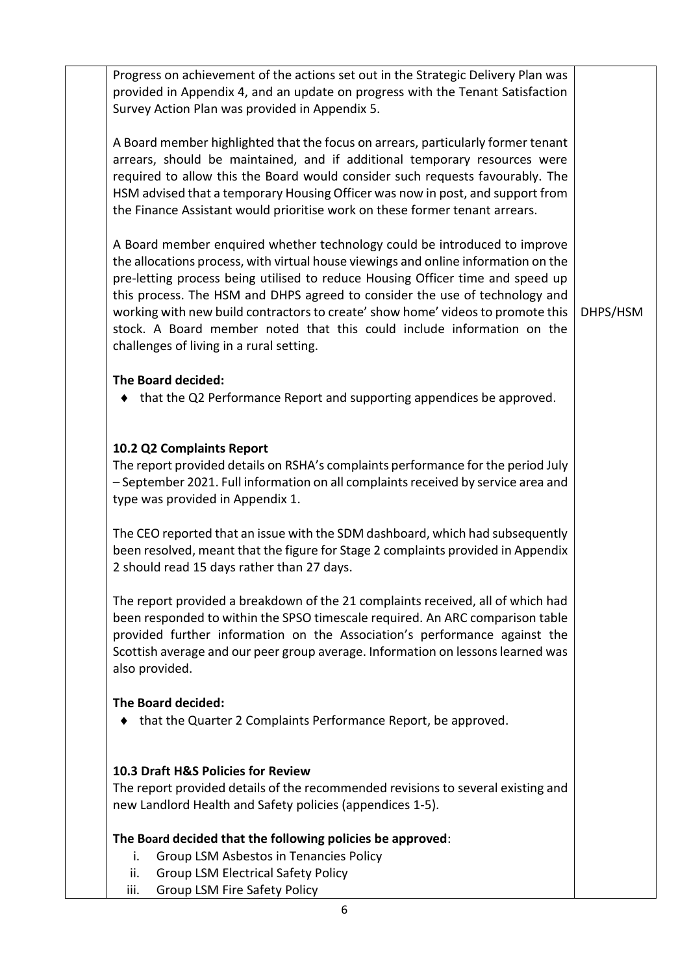Progress on achievement of the actions set out in the Strategic Delivery Plan was provided in Appendix 4, and an update on progress with the Tenant Satisfaction Survey Action Plan was provided in Appendix 5. A Board member highlighted that the focus on arrears, particularly former tenant arrears, should be maintained, and if additional temporary resources were required to allow this the Board would consider such requests favourably. The HSM advised that a temporary Housing Officer was now in post, and support from the Finance Assistant would prioritise work on these former tenant arrears. A Board member enquired whether technology could be introduced to improve the allocations process, with virtual house viewings and online information on the pre-letting process being utilised to reduce Housing Officer time and speed up this process. The HSM and DHPS agreed to consider the use of technology and working with new build contractors to create' show home' videos to promote this stock. A Board member noted that this could include information on the challenges of living in a rural setting. **The Board decided:**  $\bullet$  that the Q2 Performance Report and supporting appendices be approved. **10.2 Q2 Complaints Report**  The report provided details on RSHA's complaints performance for the period July – September 2021. Full information on all complaints received by service area and type was provided in Appendix 1. The CEO reported that an issue with the SDM dashboard, which had subsequently been resolved, meant that the figure for Stage 2 complaints provided in Appendix 2 should read 15 days rather than 27 days. The report provided a breakdown of the 21 complaints received, all of which had been responded to within the SPSO timescale required. An ARC comparison table provided further information on the Association's performance against the Scottish average and our peer group average. Information on lessons learned was also provided. **The Board decided:** that the Quarter 2 Complaints Performance Report, be approved. **10.3 Draft H&S Policies for Review** The report provided details of the recommended revisions to several existing and new Landlord Health and Safety policies (appendices 1-5). **The Board decided that the following policies be approved**: i. Group LSM Asbestos in Tenancies Policy ii. Group LSM Electrical Safety Policy iii. Group LSM Fire Safety Policy DHPS/HSM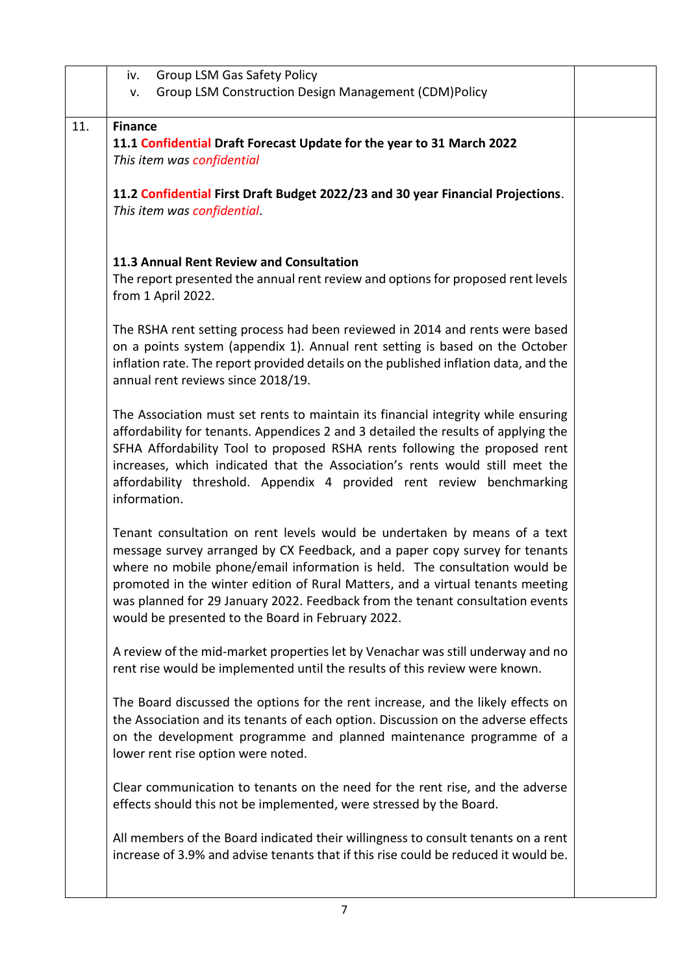|     | <b>Group LSM Gas Safety Policy</b><br>iv.                                                                                                                                                                                                                                                                                                                                                                                                                      |  |
|-----|----------------------------------------------------------------------------------------------------------------------------------------------------------------------------------------------------------------------------------------------------------------------------------------------------------------------------------------------------------------------------------------------------------------------------------------------------------------|--|
|     | Group LSM Construction Design Management (CDM)Policy<br>v.                                                                                                                                                                                                                                                                                                                                                                                                     |  |
| 11. | <b>Finance</b>                                                                                                                                                                                                                                                                                                                                                                                                                                                 |  |
|     | 11.1 Confidential Draft Forecast Update for the year to 31 March 2022<br>This item was confidential                                                                                                                                                                                                                                                                                                                                                            |  |
|     | 11.2 Confidential First Draft Budget 2022/23 and 30 year Financial Projections.<br>This item was confidential.                                                                                                                                                                                                                                                                                                                                                 |  |
|     | 11.3 Annual Rent Review and Consultation<br>The report presented the annual rent review and options for proposed rent levels<br>from 1 April 2022.                                                                                                                                                                                                                                                                                                             |  |
|     | The RSHA rent setting process had been reviewed in 2014 and rents were based<br>on a points system (appendix 1). Annual rent setting is based on the October<br>inflation rate. The report provided details on the published inflation data, and the<br>annual rent reviews since 2018/19.                                                                                                                                                                     |  |
|     | The Association must set rents to maintain its financial integrity while ensuring<br>affordability for tenants. Appendices 2 and 3 detailed the results of applying the<br>SFHA Affordability Tool to proposed RSHA rents following the proposed rent<br>increases, which indicated that the Association's rents would still meet the<br>affordability threshold. Appendix 4 provided rent review benchmarking<br>information.                                 |  |
|     | Tenant consultation on rent levels would be undertaken by means of a text<br>message survey arranged by CX Feedback, and a paper copy survey for tenants<br>where no mobile phone/email information is held. The consultation would be<br>promoted in the winter edition of Rural Matters, and a virtual tenants meeting<br>was planned for 29 January 2022. Feedback from the tenant consultation events<br>would be presented to the Board in February 2022. |  |
|     | A review of the mid-market properties let by Venachar was still underway and no<br>rent rise would be implemented until the results of this review were known.                                                                                                                                                                                                                                                                                                 |  |
|     | The Board discussed the options for the rent increase, and the likely effects on<br>the Association and its tenants of each option. Discussion on the adverse effects<br>on the development programme and planned maintenance programme of a<br>lower rent rise option were noted.                                                                                                                                                                             |  |
|     | Clear communication to tenants on the need for the rent rise, and the adverse<br>effects should this not be implemented, were stressed by the Board.                                                                                                                                                                                                                                                                                                           |  |
|     | All members of the Board indicated their willingness to consult tenants on a rent<br>increase of 3.9% and advise tenants that if this rise could be reduced it would be.                                                                                                                                                                                                                                                                                       |  |
|     |                                                                                                                                                                                                                                                                                                                                                                                                                                                                |  |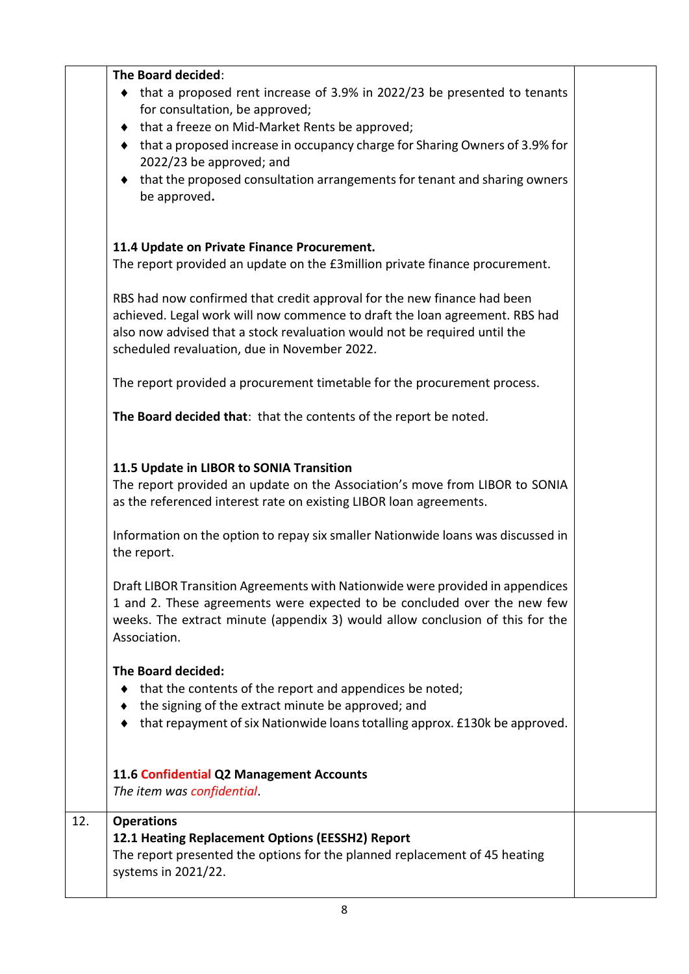|     | The Board decided:<br>• that a proposed rent increase of 3.9% in 2022/23 be presented to tenants<br>for consultation, be approved;<br>that a freeze on Mid-Market Rents be approved;<br>that a proposed increase in occupancy charge for Sharing Owners of 3.9% for<br>2022/23 be approved; and<br>that the proposed consultation arrangements for tenant and sharing owners<br>be approved.                      |  |
|-----|-------------------------------------------------------------------------------------------------------------------------------------------------------------------------------------------------------------------------------------------------------------------------------------------------------------------------------------------------------------------------------------------------------------------|--|
|     | 11.4 Update on Private Finance Procurement.<br>The report provided an update on the £3million private finance procurement.<br>RBS had now confirmed that credit approval for the new finance had been<br>achieved. Legal work will now commence to draft the loan agreement. RBS had<br>also now advised that a stock revaluation would not be required until the<br>scheduled revaluation, due in November 2022. |  |
|     | The report provided a procurement timetable for the procurement process.<br>The Board decided that: that the contents of the report be noted.                                                                                                                                                                                                                                                                     |  |
|     | 11.5 Update in LIBOR to SONIA Transition<br>The report provided an update on the Association's move from LIBOR to SONIA<br>as the referenced interest rate on existing LIBOR loan agreements.<br>Information on the option to repay six smaller Nationwide loans was discussed in<br>the report.                                                                                                                  |  |
|     | Draft LIBOR Transition Agreements with Nationwide were provided in appendices<br>1 and 2. These agreements were expected to be concluded over the new few<br>weeks. The extract minute (appendix 3) would allow conclusion of this for the<br>Association.                                                                                                                                                        |  |
|     | The Board decided:<br>that the contents of the report and appendices be noted;<br>the signing of the extract minute be approved; and<br>that repayment of six Nationwide loans totalling approx. £130k be approved.                                                                                                                                                                                               |  |
|     | 11.6 Confidential Q2 Management Accounts<br>The item was confidential.                                                                                                                                                                                                                                                                                                                                            |  |
| 12. | <b>Operations</b><br>12.1 Heating Replacement Options (EESSH2) Report<br>The report presented the options for the planned replacement of 45 heating<br>systems in 2021/22.                                                                                                                                                                                                                                        |  |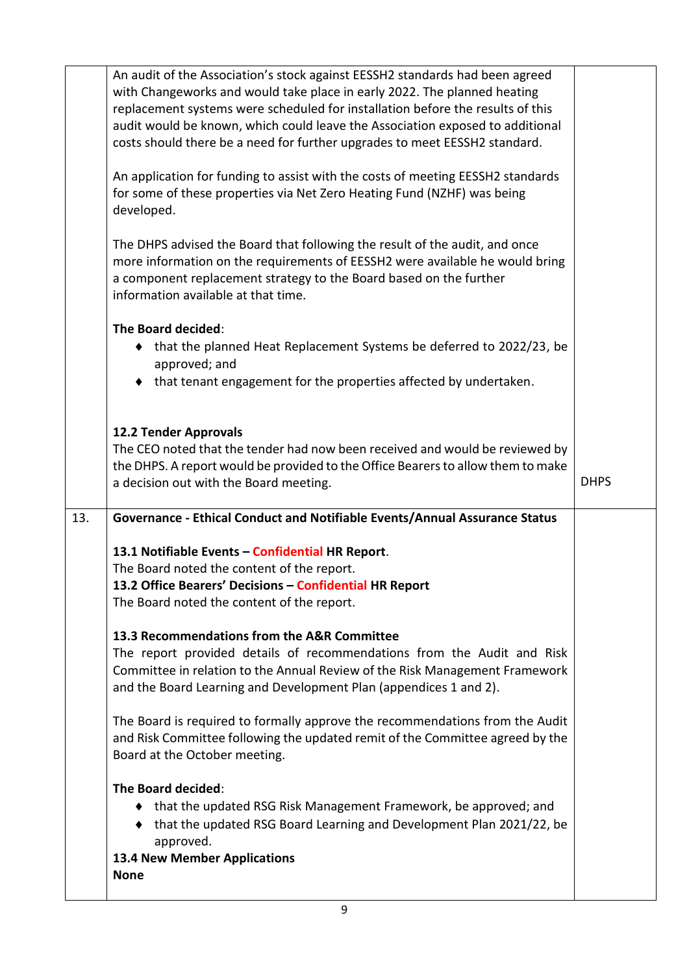|     | The Board decided:<br>that the updated RSG Risk Management Framework, be approved; and<br>٠                                                                                                                                                                                                                                                                                                               |             |
|-----|-----------------------------------------------------------------------------------------------------------------------------------------------------------------------------------------------------------------------------------------------------------------------------------------------------------------------------------------------------------------------------------------------------------|-------------|
|     |                                                                                                                                                                                                                                                                                                                                                                                                           |             |
|     | The Board is required to formally approve the recommendations from the Audit<br>and Risk Committee following the updated remit of the Committee agreed by the<br>Board at the October meeting.                                                                                                                                                                                                            |             |
|     | 13.3 Recommendations from the A&R Committee<br>The report provided details of recommendations from the Audit and Risk<br>Committee in relation to the Annual Review of the Risk Management Framework<br>and the Board Learning and Development Plan (appendices 1 and 2).                                                                                                                                 |             |
|     | 13.1 Notifiable Events - Confidential HR Report.<br>The Board noted the content of the report.<br>13.2 Office Bearers' Decisions – Confidential HR Report<br>The Board noted the content of the report.                                                                                                                                                                                                   |             |
| 13. | Governance - Ethical Conduct and Notifiable Events/Annual Assurance Status                                                                                                                                                                                                                                                                                                                                |             |
|     | <b>12.2 Tender Approvals</b><br>The CEO noted that the tender had now been received and would be reviewed by<br>the DHPS. A report would be provided to the Office Bearers to allow them to make<br>a decision out with the Board meeting.                                                                                                                                                                | <b>DHPS</b> |
|     | The Board decided:<br>♦ that the planned Heat Replacement Systems be deferred to 2022/23, be<br>approved; and<br>• that tenant engagement for the properties affected by undertaken.                                                                                                                                                                                                                      |             |
|     | The DHPS advised the Board that following the result of the audit, and once<br>more information on the requirements of EESSH2 were available he would bring<br>a component replacement strategy to the Board based on the further<br>information available at that time.                                                                                                                                  |             |
|     | An application for funding to assist with the costs of meeting EESSH2 standards<br>for some of these properties via Net Zero Heating Fund (NZHF) was being<br>developed.                                                                                                                                                                                                                                  |             |
|     | An audit of the Association's stock against EESSH2 standards had been agreed<br>with Changeworks and would take place in early 2022. The planned heating<br>replacement systems were scheduled for installation before the results of this<br>audit would be known, which could leave the Association exposed to additional<br>costs should there be a need for further upgrades to meet EESSH2 standard. |             |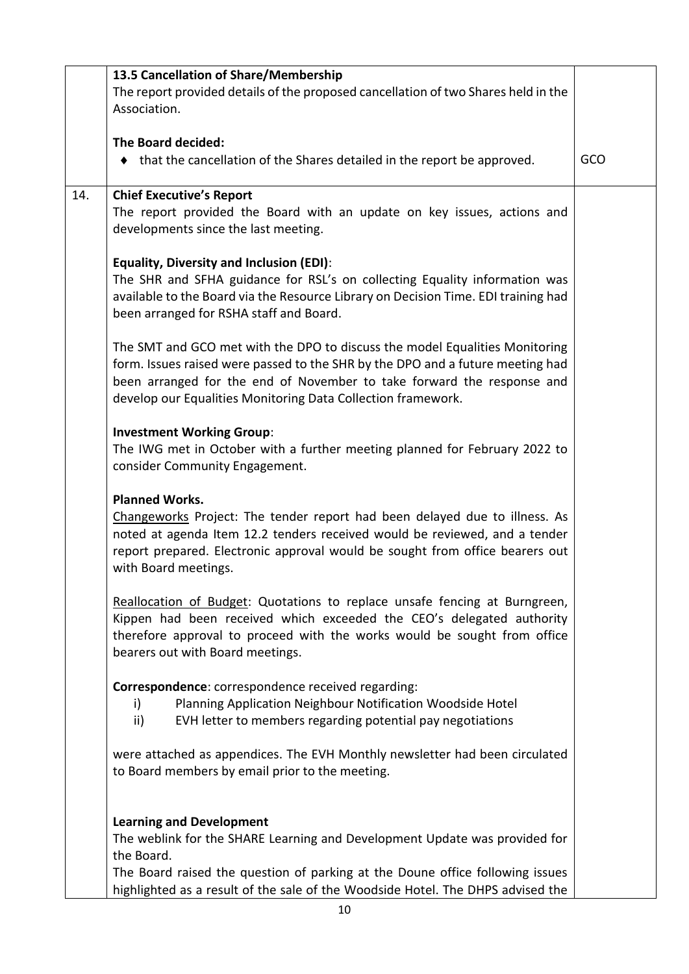|     | 13.5 Cancellation of Share/Membership                                                                                                                                                                                                                                                                   |     |
|-----|---------------------------------------------------------------------------------------------------------------------------------------------------------------------------------------------------------------------------------------------------------------------------------------------------------|-----|
|     | The report provided details of the proposed cancellation of two Shares held in the<br>Association.                                                                                                                                                                                                      |     |
|     | The Board decided:                                                                                                                                                                                                                                                                                      |     |
|     | • that the cancellation of the Shares detailed in the report be approved.                                                                                                                                                                                                                               | GCO |
| 14. | <b>Chief Executive's Report</b>                                                                                                                                                                                                                                                                         |     |
|     | The report provided the Board with an update on key issues, actions and<br>developments since the last meeting.                                                                                                                                                                                         |     |
|     | <b>Equality, Diversity and Inclusion (EDI):</b><br>The SHR and SFHA guidance for RSL's on collecting Equality information was                                                                                                                                                                           |     |
|     | available to the Board via the Resource Library on Decision Time. EDI training had<br>been arranged for RSHA staff and Board.                                                                                                                                                                           |     |
|     | The SMT and GCO met with the DPO to discuss the model Equalities Monitoring<br>form. Issues raised were passed to the SHR by the DPO and a future meeting had<br>been arranged for the end of November to take forward the response and<br>develop our Equalities Monitoring Data Collection framework. |     |
|     | <b>Investment Working Group:</b>                                                                                                                                                                                                                                                                        |     |
|     | The IWG met in October with a further meeting planned for February 2022 to<br>consider Community Engagement.                                                                                                                                                                                            |     |
|     | <b>Planned Works.</b>                                                                                                                                                                                                                                                                                   |     |
|     | Changeworks Project: The tender report had been delayed due to illness. As<br>noted at agenda Item 12.2 tenders received would be reviewed, and a tender<br>report prepared. Electronic approval would be sought from office bearers out<br>with Board meetings.                                        |     |
|     | Reallocation of Budget: Quotations to replace unsafe fencing at Burngreen,<br>Kippen had been received which exceeded the CEO's delegated authority<br>therefore approval to proceed with the works would be sought from office<br>bearers out with Board meetings.                                     |     |
|     | Correspondence: correspondence received regarding:<br>Planning Application Neighbour Notification Woodside Hotel<br>i)<br>$\mathsf{ii}$<br>EVH letter to members regarding potential pay negotiations                                                                                                   |     |
|     | were attached as appendices. The EVH Monthly newsletter had been circulated<br>to Board members by email prior to the meeting.                                                                                                                                                                          |     |
|     | <b>Learning and Development</b>                                                                                                                                                                                                                                                                         |     |
|     | The weblink for the SHARE Learning and Development Update was provided for<br>the Board.                                                                                                                                                                                                                |     |
|     | The Board raised the question of parking at the Doune office following issues<br>highlighted as a result of the sale of the Woodside Hotel. The DHPS advised the                                                                                                                                        |     |
|     | 1 <sub>0</sub>                                                                                                                                                                                                                                                                                          |     |